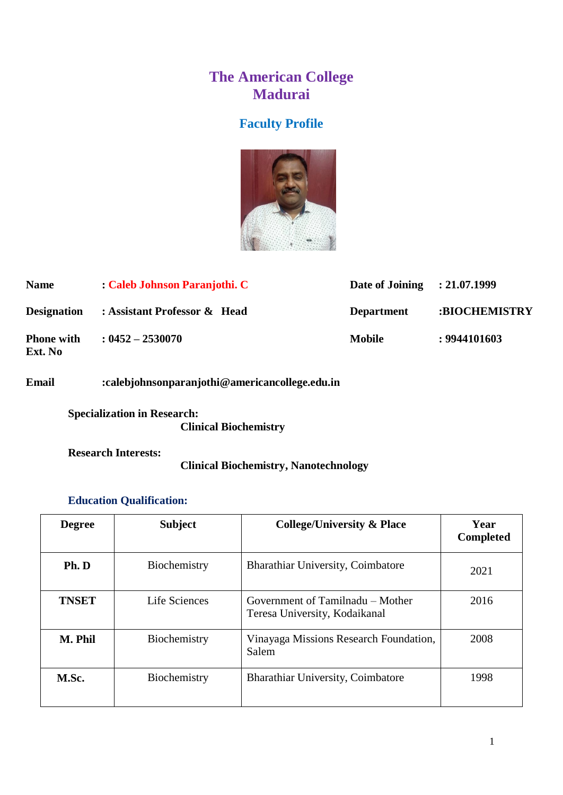# **The American College Madurai**

# **Faculty Profile**



| <b>Name</b>                  | : Caleb Johnson Paranjothi. C | Date of Joining : 21.07.1999 |               |
|------------------------------|-------------------------------|------------------------------|---------------|
| <b>Designation</b>           | : Assistant Professor & Head  | <b>Department</b>            | :BIOCHEMISTRY |
| <b>Phone with</b><br>Ext. No | $: 0452 - 2530070$            | <b>Mobile</b>                | : 9944101603  |

### **Email :calebjohnsonparanjothi@americancollege.edu.in**

**Specialization in Research: Clinical Biochemistry**

**Research Interests:**

### **Clinical Biochemistry, Nanotechnology**

### **Education Qualification:**

| <b>Degree</b> | <b>Subject</b> | <b>College/University &amp; Place</b>                             | Year<br><b>Completed</b> |
|---------------|----------------|-------------------------------------------------------------------|--------------------------|
| Ph. D         | Biochemistry   | Bharathiar University, Coimbatore                                 | 2021                     |
| <b>TNSET</b>  | Life Sciences  | Government of Tamilnadu – Mother<br>Teresa University, Kodaikanal | 2016                     |
| M. Phil       | Biochemistry   | Vinayaga Missions Research Foundation,<br>Salem                   | 2008                     |
| M.Sc.         | Biochemistry   | Bharathiar University, Coimbatore                                 | 1998                     |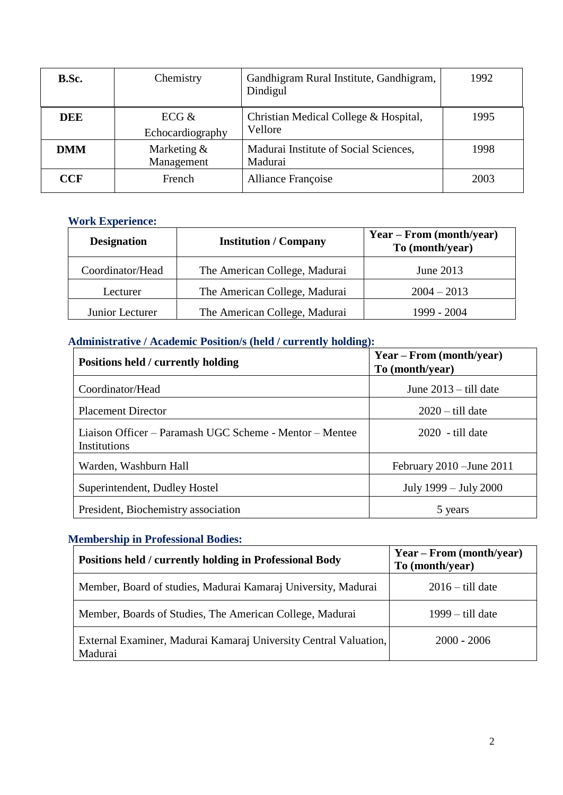| B.Sc.      | Chemistry                   | Gandhigram Rural Institute, Gandhigram,<br>Dindigul | 1992 |
|------------|-----------------------------|-----------------------------------------------------|------|
| DEE        | ECG $&$<br>Echocardiography | Christian Medical College & Hospital,<br>Vellore    | 1995 |
| <b>DMM</b> | Marketing &<br>Management   | Madurai Institute of Social Sciences,<br>Madurai    | 1998 |
| CCF        | French                      | <b>Alliance Françoise</b>                           | 2003 |

#### **Work Experience:**

| <b>Institution / Company</b><br><b>Designation</b> |                               | Year – From (month/year)<br>To (month/year) |
|----------------------------------------------------|-------------------------------|---------------------------------------------|
| Coordinator/Head                                   | The American College, Madurai | June 2013                                   |
| Lecturer                                           | The American College, Madurai | $2004 - 2013$                               |
| Junior Lecturer                                    | The American College, Madurai | 1999 - 2004                                 |

### **Administrative / Academic Position/s (held / currently holding):**

| Positions held / currently holding                                      | $Year - From (month/year)$<br>To (month/year) |
|-------------------------------------------------------------------------|-----------------------------------------------|
| Coordinator/Head                                                        | June $2013 -$ till date                       |
| <b>Placement Director</b>                                               | $2020 -$ till date                            |
| Liaison Officer – Paramash UGC Scheme - Mentor – Mentee<br>Institutions | $2020$ - till date                            |
| Warden, Washburn Hall                                                   | February 2010 – June 2011                     |
| Superintendent, Dudley Hostel                                           | July 1999 – July 2000                         |
| President, Biochemistry association                                     | 5 years                                       |

### **Membership in Professional Bodies:**

| Positions held / currently holding in Professional Body                     | $Year - From (month/year)$<br>To (month/year) |
|-----------------------------------------------------------------------------|-----------------------------------------------|
| Member, Board of studies, Madurai Kamaraj University, Madurai               | $2016 -$ till date                            |
| Member, Boards of Studies, The American College, Madurai                    | $1999 -$ till date                            |
| External Examiner, Madurai Kamaraj University Central Valuation,<br>Madurai | $2000 - 2006$                                 |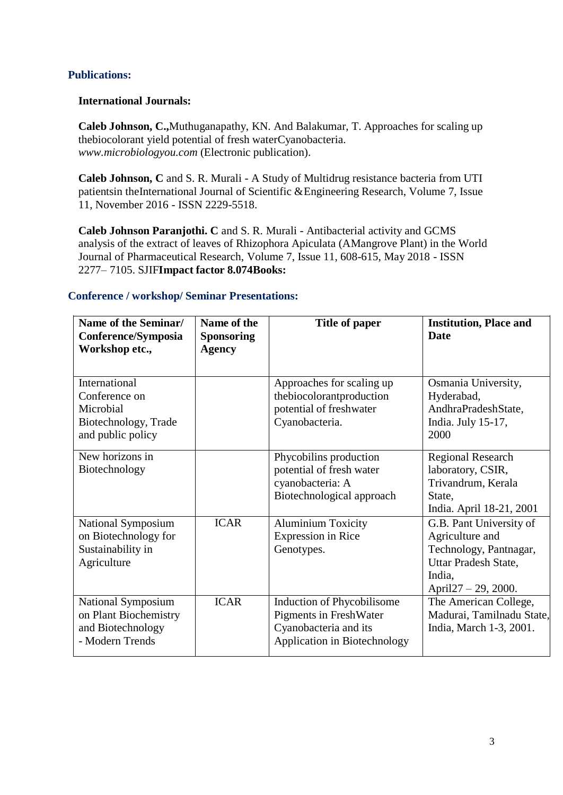#### **Publications:**

#### **International Journals:**

**Caleb Johnson, C.,**Muthuganapathy, KN. And Balakumar, T. Approaches for scaling up thebiocolorant yield potential of fresh waterCyanobacteria. *[www.microbiologyou.com](http://www.microbiologyou.com/)* (Electronic publication).

**Caleb Johnson, C** and S. R. Murali - A Study of Multidrug resistance bacteria from UTI patientsin theInternational Journal of Scientific &Engineering Research, Volume 7, Issue 11, November 2016 - ISSN 2229-5518.

**Caleb Johnson Paranjothi. C** and S. R. Murali - Antibacterial activity and GCMS analysis of the extract of leaves of Rhizophora Apiculata (AMangrove Plant) in the World Journal of Pharmaceutical Research, Volume 7, Issue 11, 608-615, May 2018 - ISSN 2277– 7105. SJIF**Impact factor 8.074Books:**

#### **Conference / workshop/ Seminar Presentations:**

| Name of the Seminar/<br>Conference/Symposia<br>Workshop etc.,                            | Name of the<br><b>Sponsoring</b><br><b>Agency</b> | Title of paper                                                                                                       | <b>Institution, Place and</b><br><b>Date</b>                                                                                      |
|------------------------------------------------------------------------------------------|---------------------------------------------------|----------------------------------------------------------------------------------------------------------------------|-----------------------------------------------------------------------------------------------------------------------------------|
| International<br>Conference on<br>Microbial<br>Biotechnology, Trade<br>and public policy |                                                   | Approaches for scaling up<br>thebiocolorantproduction<br>potential of freshwater<br>Cyanobacteria.                   | Osmania University,<br>Hyderabad,<br>AndhraPradeshState,<br>India. July 15-17,<br>2000                                            |
| New horizons in<br>Biotechnology                                                         |                                                   | Phycobilins production<br>potential of fresh water<br>cyanobacteria: A<br>Biotechnological approach                  | <b>Regional Research</b><br>laboratory, CSIR,<br>Trivandrum, Kerala<br>State.<br>India. April 18-21, 2001                         |
| National Symposium<br>on Biotechnology for<br>Sustainability in<br>Agriculture           | <b>ICAR</b>                                       | <b>Aluminium Toxicity</b><br><b>Expression</b> in Rice<br>Genotypes.                                                 | G.B. Pant University of<br>Agriculture and<br>Technology, Pantnagar,<br>Uttar Pradesh State,<br>India,<br>April $27 - 29$ , 2000. |
| National Symposium<br>on Plant Biochemistry<br>and Biotechnology<br>- Modern Trends      | <b>ICAR</b>                                       | Induction of Phycobilisome<br><b>Pigments in FreshWater</b><br>Cyanobacteria and its<br>Application in Biotechnology | The American College,<br>Madurai, Tamilnadu State,<br>India, March 1-3, 2001.                                                     |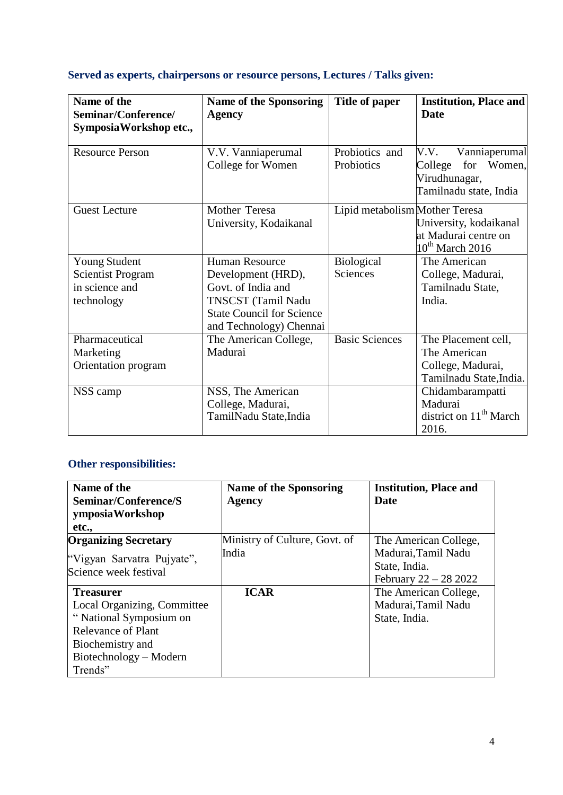### **Served as experts, chairpersons or resource persons, Lectures / Talks given:**

| Name of the<br>Seminar/Conference/<br>Symposia Workshop etc.,                    | <b>Name of the Sponsoring</b><br><b>Agency</b>                                                                                                         | Title of paper                 | <b>Institution, Place and</b><br><b>Date</b>                                                 |
|----------------------------------------------------------------------------------|--------------------------------------------------------------------------------------------------------------------------------------------------------|--------------------------------|----------------------------------------------------------------------------------------------|
| <b>Resource Person</b>                                                           | V.V. Vanniaperumal<br>College for Women                                                                                                                | Probiotics and<br>Probiotics   | V.V.<br>Vanniaperumal<br>for<br>College<br>Women,<br>Virudhunagar,<br>Tamilnadu state, India |
| <b>Guest Lecture</b>                                                             | Mother Teresa<br>University, Kodaikanal                                                                                                                | Lipid metabolism Mother Teresa | University, kodaikanal<br>at Madurai centre on<br>$10^{th}$ March 2016                       |
| <b>Young Student</b><br><b>Scientist Program</b><br>in science and<br>technology | <b>Human Resource</b><br>Development (HRD),<br>Govt. of India and<br>TNSCST (Tamil Nadu<br><b>State Council for Science</b><br>and Technology) Chennai | <b>Biological</b><br>Sciences  | The American<br>College, Madurai,<br>Tamilnadu State,<br>India.                              |
| Pharmaceutical<br>Marketing<br>Orientation program                               | The American College,<br>Madurai                                                                                                                       | <b>Basic Sciences</b>          | The Placement cell,<br>The American<br>College, Madurai,<br>Tamilnadu State, India.          |
| NSS camp                                                                         | NSS, The American<br>College, Madurai,<br>TamilNadu State, India                                                                                       |                                | Chidambarampatti<br>Madurai<br>district on 11 <sup>th</sup> March<br>2016.                   |

# **Other responsibilities:**

| Name of the                 | <b>Name of the Sponsoring</b> | <b>Institution, Place and</b> |
|-----------------------------|-------------------------------|-------------------------------|
| Seminar/Conference/S        | <b>Agency</b>                 | Date                          |
| ymposiaWorkshop             |                               |                               |
| etc.,                       |                               |                               |
| <b>Organizing Secretary</b> | Ministry of Culture, Govt. of | The American College,         |
| "Vigyan Sarvatra Pujyate",  | India                         | Madurai, Tamil Nadu           |
| Science week festival       |                               | State, India.                 |
|                             |                               | February 22 – 28 2022         |
| <b>Treasurer</b>            | <b>ICAR</b>                   | The American College,         |
| Local Organizing, Committee |                               | Madurai, Tamil Nadu           |
| "National Symposium on      |                               | State, India.                 |
| <b>Relevance of Plant</b>   |                               |                               |
| Biochemistry and            |                               |                               |
| Biotechnology – Modern      |                               |                               |
| Trends"                     |                               |                               |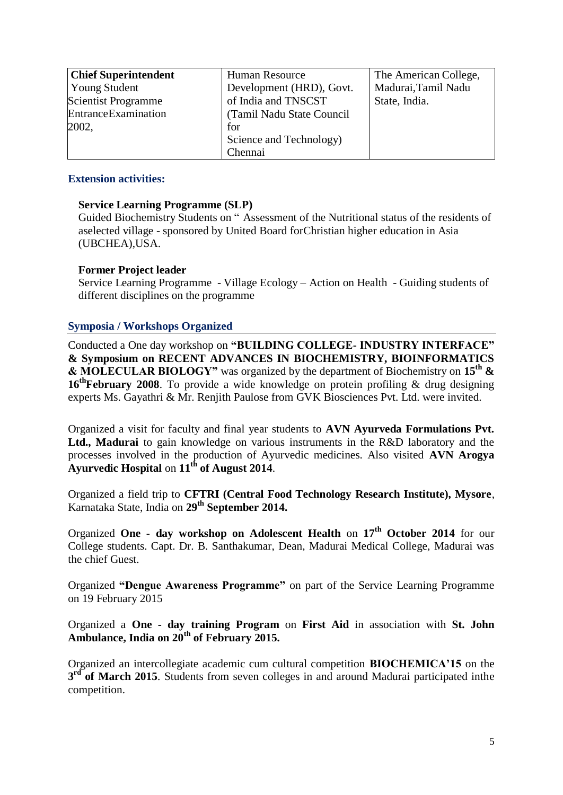| <b>Chief Superintendent</b> | <b>Human Resource</b>      | The American College, |
|-----------------------------|----------------------------|-----------------------|
| <b>Young Student</b>        | Development (HRD), Govt.   | Madurai, Tamil Nadu   |
| <b>Scientist Programme</b>  | of India and TNSCST        | State, India.         |
| EntranceExamination         | (Tamil Nadu State Council) |                       |
| 2002,                       | for                        |                       |
|                             | Science and Technology)    |                       |
|                             | Chennai                    |                       |

#### **Extension activities:**

#### **Service Learning Programme (SLP)**

Guided Biochemistry Students on " Assessment of the Nutritional status of the residents of aselected village - sponsored by United Board forChristian higher education in Asia (UBCHEA),USA.

#### **Former Project leader**

Service Learning Programme - Village Ecology – Action on Health - Guiding students of different disciplines on the programme

#### **Symposia / Workshops Organized**

Conducted a One day workshop on **"BUILDING COLLEGE- INDUSTRY INTERFACE" & Symposium on RECENT ADVANCES IN BIOCHEMISTRY, BIOINFORMATICS & MOLECULAR BIOLOGY"** was organized by the department of Biochemistry on **15th & 16thFebruary 2008**. To provide a wide knowledge on protein profiling & drug designing experts Ms. Gayathri & Mr. Renjith Paulose from GVK Biosciences Pvt. Ltd. were invited.

Organized a visit for faculty and final year students to **AVN Ayurveda Formulations Pvt. Ltd., Madurai** to gain knowledge on various instruments in the R&D laboratory and the processes involved in the production of Ayurvedic medicines. Also visited **AVN Arogya Ayurvedic Hospital** on **11th of August 2014**.

Organized a field trip to **CFTRI (Central Food Technology Research Institute), Mysore**, Karnataka State, India on **29th September 2014.**

Organized **One - day workshop on Adolescent Health** on **17th October 2014** for our College students. Capt. Dr. B. Santhakumar, Dean, Madurai Medical College, Madurai was the chief Guest.

Organized **"Dengue Awareness Programme"** on part of the Service Learning Programme on 19 February 2015

Organized a **One - day training Program** on **First Aid** in association with **St. John Ambulance, India on 20th of February 2015.**

Organized an intercollegiate academic cum cultural competition **BIOCHEMICA"15** on the 3<sup>rd</sup> of March 2015. Students from seven colleges in and around Madurai participated inthe competition.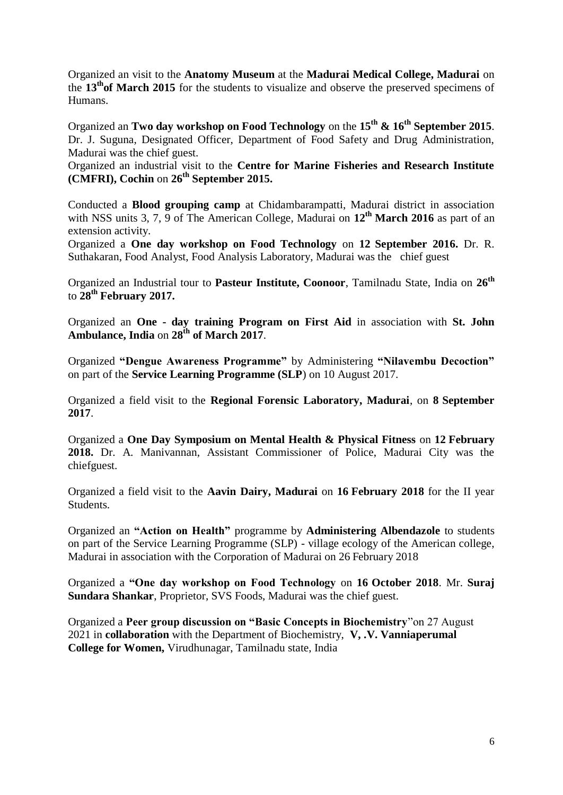Organized an visit to the **Anatomy Museum** at the **Madurai Medical College, Madurai** on the **13thof March 2015** for the students to visualize and observe the preserved specimens of Humans.

Organized an **Two day workshop on Food Technology** on the **15th & 16th September 2015**. Dr. J. Suguna, Designated Officer, Department of Food Safety and Drug Administration, Madurai was the chief guest.

Organized an industrial visit to the **Centre for Marine Fisheries and Research Institute (CMFRI), Cochin** on **26th September 2015.** 

Conducted a **Blood grouping camp** at Chidambarampatti, Madurai district in association with NSS units 3, 7, 9 of The American College, Madurai on **12th March 2016** as part of an extension activity.

Organized a **One day workshop on Food Technology** on **12 September 2016.** Dr. R. Suthakaran, Food Analyst, Food Analysis Laboratory, Madurai was the chief guest

Organized an Industrial tour to **Pasteur Institute, Coonoor**, Tamilnadu State, India on **26th** to **28th February 2017.**

Organized an **One - day training Program on First Aid** in association with **St. John Ambulance, India** on **28th of March 2017**.

Organized **"Dengue Awareness Programme"** by Administering **"Nilavembu Decoction"** on part of the **Service Learning Programme (SLP**) on 10 August 2017.

Organized a field visit to the **Regional Forensic Laboratory, Madurai**, on **8 September 2017**.

Organized a **One Day Symposium on Mental Health & Physical Fitness** on **12 February 2018.** Dr. A. Manivannan, Assistant Commissioner of Police, Madurai City was the chiefguest.

Organized a field visit to the **Aavin Dairy, Madurai** on **16 February 2018** for the II year Students.

Organized an **"Action on Health"** programme by **Administering Albendazole** to students on part of the Service Learning Programme (SLP) - village ecology of the American college, Madurai in association with the Corporation of Madurai on 26 February 2018

Organized a **"One day workshop on Food Technology** on **16 October 2018**. Mr. **Suraj Sundara Shankar**, Proprietor, SVS Foods, Madurai was the chief guest.

Organized a **Peer group discussion on "Basic Concepts in Biochemistry**"on 27 August 2021 in **collaboration** with the Department of Biochemistry, **V, .V. Vanniaperumal College for Women,** Virudhunagar, Tamilnadu state, India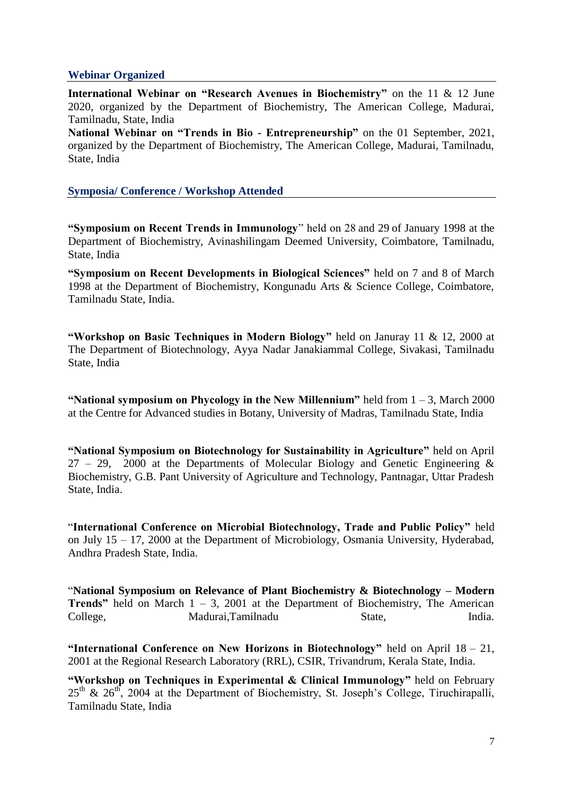#### **Webinar Organized**

**International Webinar on "Research Avenues in Biochemistry"** on the 11 & 12 June 2020, organized by the Department of Biochemistry, The American College, Madurai, Tamilnadu, State, India

**National Webinar on "Trends in Bio - Entrepreneurship"** on the 01 September, 2021, organized by the Department of Biochemistry, The American College, Madurai, Tamilnadu, State, India

#### **Symposia/ Conference / Workshop Attended**

**"Symposium on Recent Trends in Immunology**" held on 28 and 29 of January 1998 at the Department of Biochemistry, Avinashilingam Deemed University, Coimbatore, Tamilnadu, State, India

**"Symposium on Recent Developments in Biological Sciences"** held on 7 and 8 of March 1998 at the Department of Biochemistry, Kongunadu Arts & Science College, Coimbatore, Tamilnadu State, India.

**"Workshop on Basic Techniques in Modern Biology"** held on Januray 11 & 12, 2000 at The Department of Biotechnology, Ayya Nadar Janakiammal College, Sivakasi, Tamilnadu State, India

**"National symposium on Phycology in the New Millennium"** held from 1 – 3, March 2000 at the Centre for Advanced studies in Botany, University of Madras, Tamilnadu State, India

**"National Symposium on Biotechnology for Sustainability in Agriculture"** held on April  $27 - 29$ , 2000 at the Departments of Molecular Biology and Genetic Engineering & Biochemistry, G.B. Pant University of Agriculture and Technology, Pantnagar, Uttar Pradesh State, India.

"**International Conference on Microbial Biotechnology, Trade and Public Policy"** held on July 15 – 17, 2000 at the Department of Microbiology, Osmania University, Hyderabad, Andhra Pradesh State, India.

"**National Symposium on Relevance of Plant Biochemistry & Biotechnology – Modern Trends**" held on March  $1 - 3$ , 2001 at the Department of Biochemistry, The American College, Madurai,Tamilnadu State, India.

**"International Conference on New Horizons in Biotechnology"** held on April 18 – 21, 2001 at the Regional Research Laboratory (RRL), CSIR, Trivandrum, Kerala State, India.

**"Workshop on Techniques in Experimental & Clinical Immunology"** held on February  $25<sup>th</sup>$  &  $26<sup>th</sup>$ , 2004 at the Department of Biochemistry, St. Joseph's College, Tiruchirapalli, Tamilnadu State, India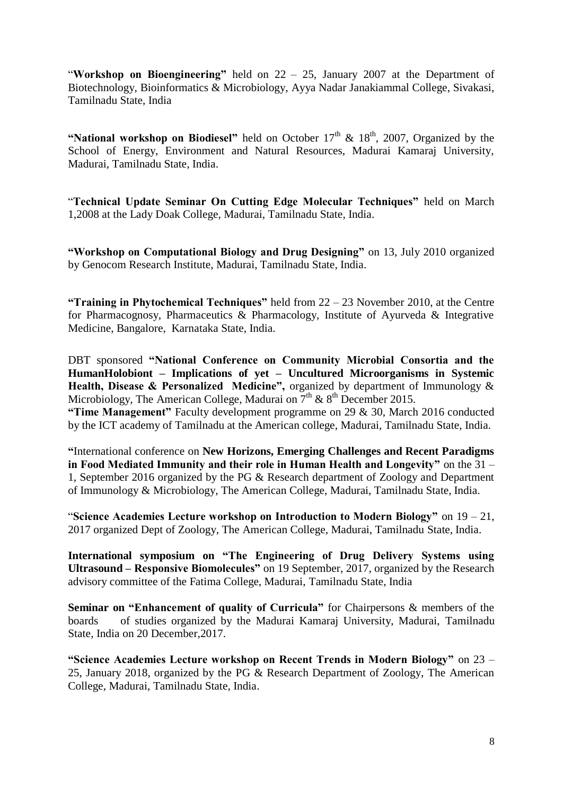"**Workshop on Bioengineering"** held on 22 – 25, January 2007 at the Department of Biotechnology, Bioinformatics & Microbiology, Ayya Nadar Janakiammal College, Sivakasi, Tamilnadu State, India

"National workshop on Biodiesel" held on October  $17<sup>th</sup>$  &  $18<sup>th</sup>$ , 2007, Organized by the School of Energy, Environment and Natural Resources, Madurai Kamaraj University, Madurai, Tamilnadu State, India.

"**Technical Update Seminar On Cutting Edge Molecular Techniques"** held on March 1,2008 at the Lady Doak College, Madurai, Tamilnadu State, India.

**"Workshop on Computational Biology and Drug Designing"** on 13, July 2010 organized by Genocom Research Institute, Madurai, Tamilnadu State, India.

**"Training in Phytochemical Techniques"** held from 22 – 23 November 2010, at the Centre for Pharmacognosy, Pharmaceutics & Pharmacology, Institute of Ayurveda & Integrative Medicine, Bangalore, Karnataka State, India.

DBT sponsored **"National Conference on Community Microbial Consortia and the HumanHolobiont – Implications of yet – Uncultured Microorganisms in Systemic Health, Disease & Personalized Medicine",** organized by department of Immunology & Microbiology, The American College, Madurai on  $7<sup>th</sup>$  &  $8<sup>th</sup>$  December 2015.

**"Time Management"** Faculty development programme on 29 & 30, March 2016 conducted by the ICT academy of Tamilnadu at the American college, Madurai, Tamilnadu State, India.

**"**International conference on **New Horizons, Emerging Challenges and Recent Paradigms in Food Mediated Immunity and their role in Human Health and Longevity"** on the 31 – 1, September 2016 organized by the PG & Research department of Zoology and Department of Immunology & Microbiology, The American College, Madurai, Tamilnadu State, India.

"**Science Academies Lecture workshop on Introduction to Modern Biology"** on 19 – 21, 2017 organized Dept of Zoology, The American College, Madurai, Tamilnadu State, India.

**International symposium on "The Engineering of Drug Delivery Systems using Ultrasound – Responsive Biomolecules"** on 19 September, 2017, organized by the Research advisory committee of the Fatima College, Madurai, Tamilnadu State, India

**Seminar on "Enhancement of quality of Curricula"** for Chairpersons & members of the boards of studies organized by the Madurai Kamaraj University, Madurai, Tamilnadu State, India on 20 December,2017.

**"Science Academies Lecture workshop on Recent Trends in Modern Biology"** on 23 – 25, January 2018, organized by the PG & Research Department of Zoology, The American College, Madurai, Tamilnadu State, India.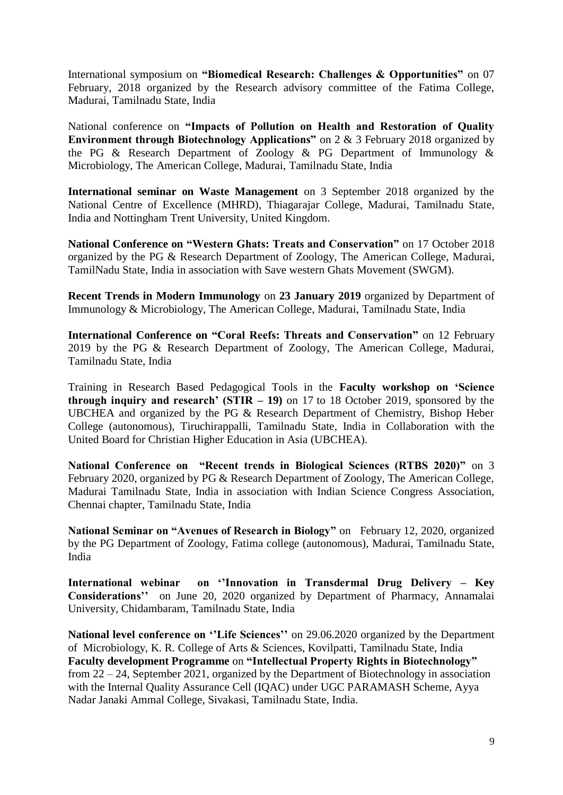International symposium on **"Biomedical Research: Challenges & Opportunities"** on 07 February, 2018 organized by the Research advisory committee of the Fatima College, Madurai, Tamilnadu State, India

National conference on **"Impacts of Pollution on Health and Restoration of Quality Environment through Biotechnology Applications"** on 2 & 3 February 2018 organized by the PG & Research Department of Zoology & PG Department of Immunology & Microbiology, The American College, Madurai, Tamilnadu State, India

**International seminar on Waste Management** on 3 September 2018 organized by the National Centre of Excellence (MHRD), Thiagarajar College, Madurai, Tamilnadu State, India and Nottingham Trent University, United Kingdom.

**National Conference on "Western Ghats: Treats and Conservation"** on 17 October 2018 organized by the PG & Research Department of Zoology, The American College, Madurai, TamilNadu State, India in association with Save western Ghats Movement (SWGM).

**Recent Trends in Modern Immunology** on **23 January 2019** organized by Department of Immunology & Microbiology, The American College, Madurai, Tamilnadu State, India

**International Conference on "Coral Reefs: Threats and Conservation"** on 12 February 2019 by the PG & Research Department of Zoology, The American College, Madurai, Tamilnadu State, India

Training in Research Based Pedagogical Tools in the **Faculty workshop on "Science through inquiry and research' (STIR**  $-19$ **) on 17 to 18 October 2019, sponsored by the** UBCHEA and organized by the PG & Research Department of Chemistry, Bishop Heber College (autonomous), Tiruchirappalli, Tamilnadu State, India in Collaboration with the United Board for Christian Higher Education in Asia (UBCHEA).

**National Conference on "Recent trends in Biological Sciences (RTBS 2020)"** on 3 February 2020, organized by PG & Research Department of Zoology, The American College, Madurai Tamilnadu State, India in association with Indian Science Congress Association, Chennai chapter, Tamilnadu State, India

**National Seminar on "Avenues of Research in Biology"** on February 12, 2020, organized by the PG Department of Zoology, Fatima college (autonomous), Madurai, Tamilnadu State, India

**International webinar on ""Innovation in Transdermal Drug Delivery – Key Considerations""** on June 20, 2020 organized by Department of Pharmacy, Annamalai University, Chidambaram, Tamilnadu State, India

National level conference on "Life Sciences" on 29.06.2020 organized by the Department of Microbiology, K. R. College of Arts & Sciences, Kovilpatti, Tamilnadu State, India **Faculty development Programme** on **"Intellectual Property Rights in Biotechnology"** from 22 – 24, September 2021, organized by the Department of Biotechnology in association with the Internal Quality Assurance Cell (IQAC) under UGC PARAMASH Scheme, Ayya Nadar Janaki Ammal College, Sivakasi, Tamilnadu State, India.